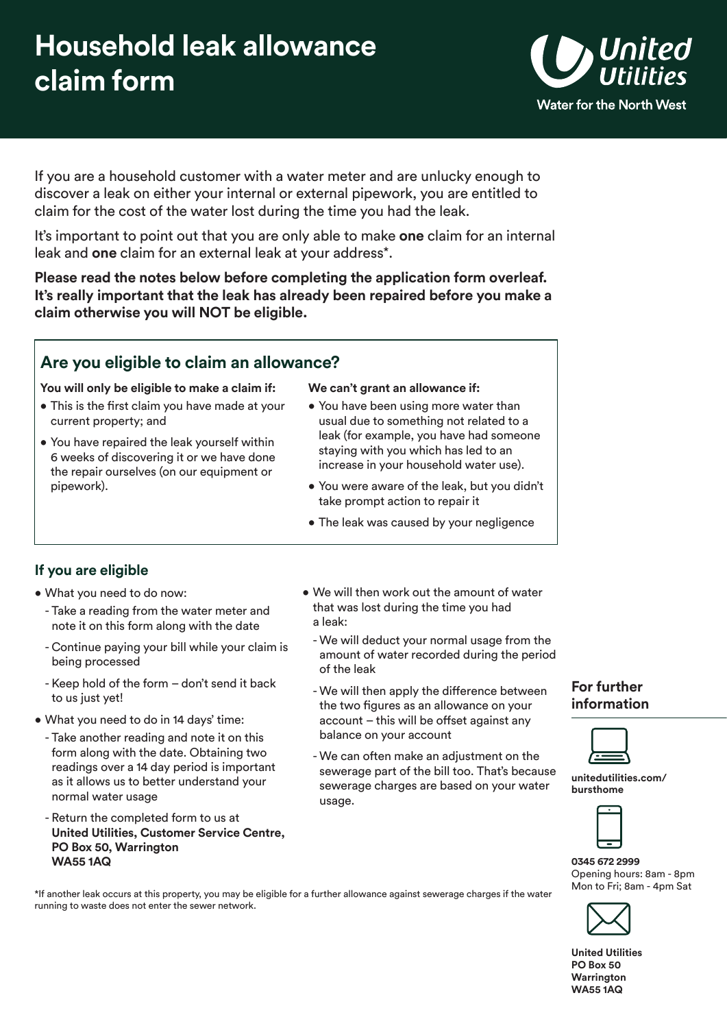# **Household leak allowance claim form**



If you are a household customer with a water meter and are unlucky enough to discover a leak on either your internal or external pipework, you are entitled to claim for the cost of the water lost during the time you had the leak.

It's important to point out that you are only able to make **one** claim for an internal leak and **one** claim for an external leak at your address\*.

**Please read the notes below before completing the application form overleaf. It's really important that the leak has already been repaired before you make a claim otherwise you will NOT be eligible.** 

## **Are you eligible to claim an allowance?**

**You will only be eligible to make a claim if: We can't grant an allowance if:** 

- This is the first claim you have made at your You have been using more water than current property; and usual due to something not related to a
- 

- You have repaired the leak yourself within leak (for example, you have had someone<br>6 weeks of discovering it or we have done<br>the repair ourselves (on our equipment or increase in your household water use).
	- pipework). You were aware of the leak, but you didn't take prompt action to repair it
		- The leak was caused by your negligence

### **If you are eligible**

- What you need to do now:
	- Take a reading from the water meter and note it on this form along with the date
	- Continue paying your bill while your claim is being processed
	- Keep hold of the form don't send it back to us just yet!
- What you need to do in 14 days' time:
	- Take another reading and note it on this form along with the date. Obtaining two readings over a 14 day period is important as it allows us to better understand your normal water usage
	- Return the completed form to us at **United Utilities, Customer Service Centre, PO Box 50, Warrington WA55 1AQ**
- We will then work out the amount of water that was lost during the time you had a leak:
	- We will deduct your normal usage from the amount of water recorded during the period of the leak
	- We will then apply the difference between the two figures as an allowance on your account – this will be offset against any balance on your account
- We can often make an adjustment on the sewerage part of the bill too. That's because sewerage charges are based on your water usage.

#### **For further information**



**[unitedutilities.com/](https://unitedutilities.com/bursthome)  bursthome** 



**0345 672 2999**  Opening hours: 8am - 8pm



**United Utilities PO Box 50 Warrington WA55 1AQ** 

Mon to Fri; 8am - 4pm Sat \*If another leak occurs at this property, you may be eligible for a further allowance against sewerage charges if the water running to waste does not enter the sewer network.